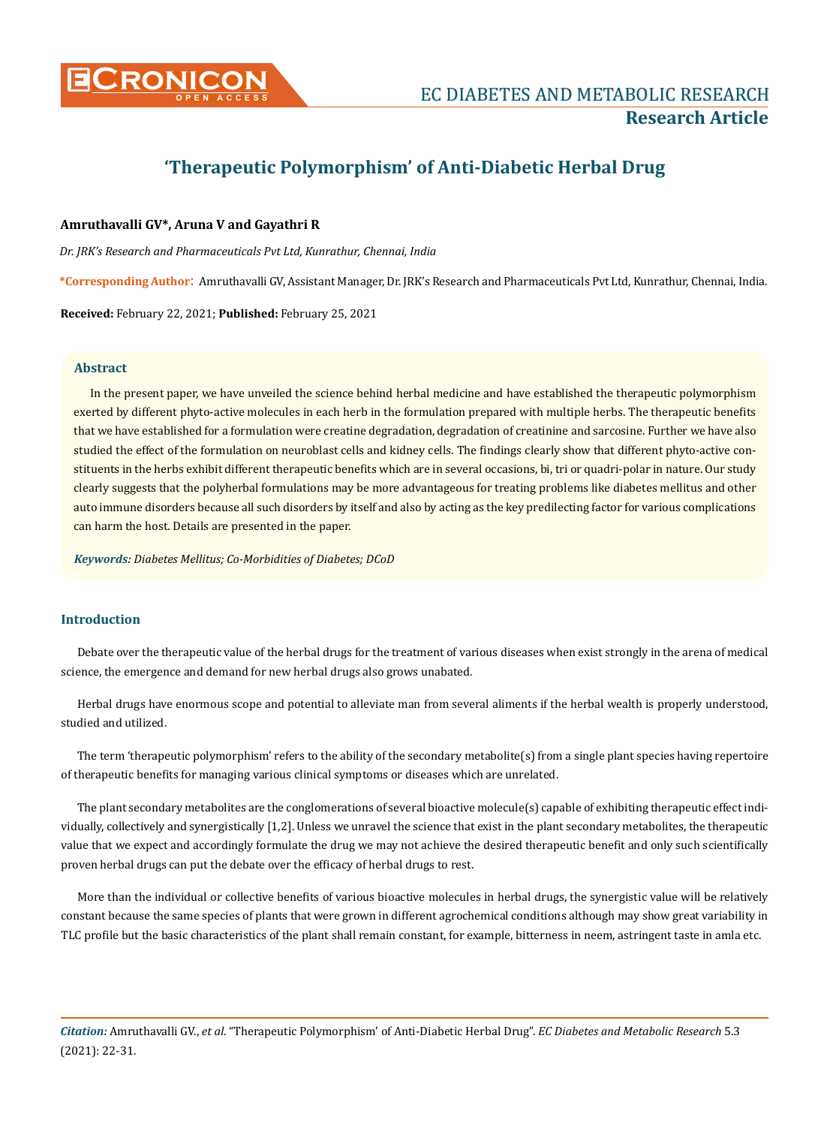

# **'Therapeutic Polymorphism' of Anti-Diabetic Herbal Drug**

# **Amruthavalli GV\*, Aruna V and Gayathri R**

*Dr. JRK's Research and Pharmaceuticals Pvt Ltd, Kunrathur, Chennai, India*

**\*Corresponding Author**: Amruthavalli GV, Assistant Manager, Dr. JRK's Research and Pharmaceuticals Pvt Ltd, Kunrathur, Chennai, India.

**Received:** February 22, 2021; **Published:** February 25, 2021

### **Abstract**

In the present paper, we have unveiled the science behind herbal medicine and have established the therapeutic polymorphism exerted by different phyto-active molecules in each herb in the formulation prepared with multiple herbs. The therapeutic benefits that we have established for a formulation were creatine degradation, degradation of creatinine and sarcosine. Further we have also studied the effect of the formulation on neuroblast cells and kidney cells. The findings clearly show that different phyto-active constituents in the herbs exhibit different therapeutic benefits which are in several occasions, bi, tri or quadri-polar in nature. Our study clearly suggests that the polyherbal formulations may be more advantageous for treating problems like diabetes mellitus and other auto immune disorders because all such disorders by itself and also by acting as the key predilecting factor for various complications can harm the host. Details are presented in the paper.

*Keywords: Diabetes Mellitus; Co-Morbidities of Diabetes; DCoD*

# **Introduction**

Debate over the therapeutic value of the herbal drugs for the treatment of various diseases when exist strongly in the arena of medical science, the emergence and demand for new herbal drugs also grows unabated.

Herbal drugs have enormous scope and potential to alleviate man from several aliments if the herbal wealth is properly understood, studied and utilized.

The term 'therapeutic polymorphism' refers to the ability of the secondary metabolite(s) from a single plant species having repertoire of therapeutic benefits for managing various clinical symptoms or diseases which are unrelated.

The plant secondary metabolites are the conglomerations of several bioactive molecule(s) capable of exhibiting therapeutic effect individually, collectively and synergistically [1,2]. Unless we unravel the science that exist in the plant secondary metabolites, the therapeutic value that we expect and accordingly formulate the drug we may not achieve the desired therapeutic benefit and only such scientifically proven herbal drugs can put the debate over the efficacy of herbal drugs to rest.

More than the individual or collective benefits of various bioactive molecules in herbal drugs, the synergistic value will be relatively constant because the same species of plants that were grown in different agrochemical conditions although may show great variability in TLC profile but the basic characteristics of the plant shall remain constant, for example, bitterness in neem, astringent taste in amla etc.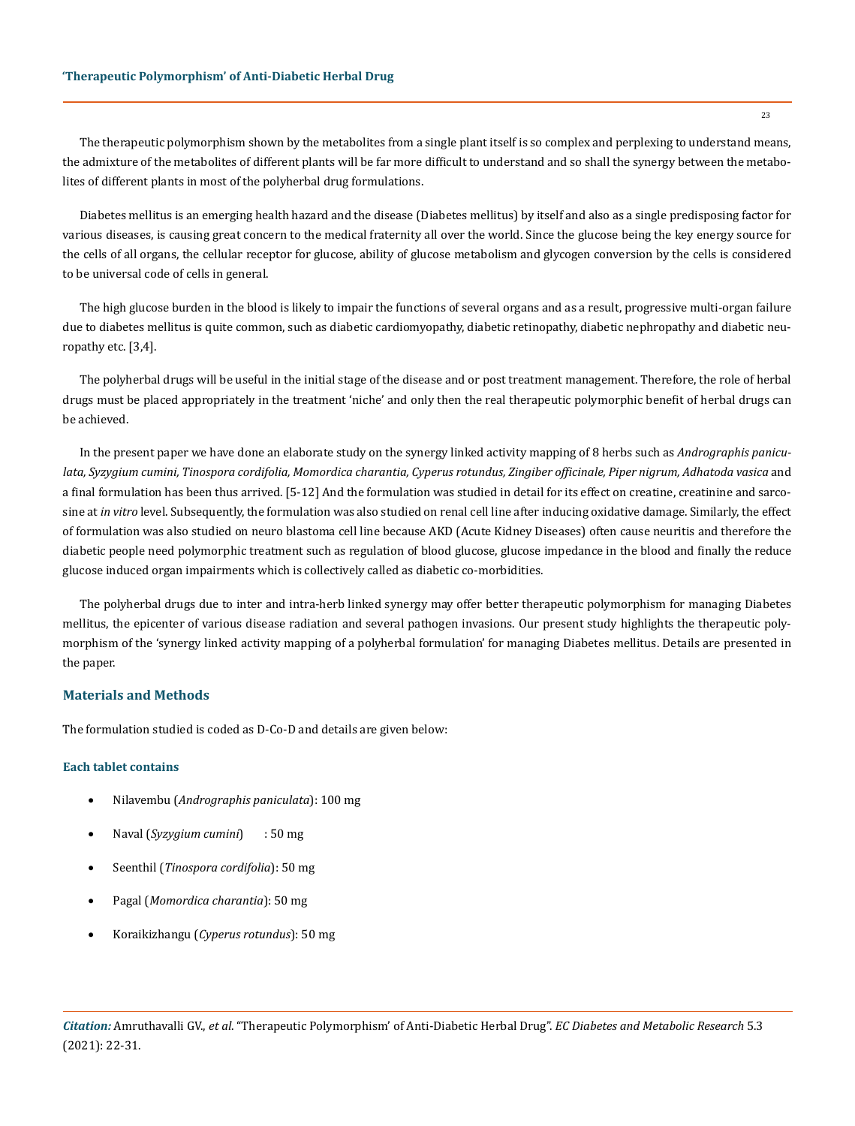The therapeutic polymorphism shown by the metabolites from a single plant itself is so complex and perplexing to understand means, the admixture of the metabolites of different plants will be far more difficult to understand and so shall the synergy between the metabolites of different plants in most of the polyherbal drug formulations.

Diabetes mellitus is an emerging health hazard and the disease (Diabetes mellitus) by itself and also as a single predisposing factor for various diseases, is causing great concern to the medical fraternity all over the world. Since the glucose being the key energy source for the cells of all organs, the cellular receptor for glucose, ability of glucose metabolism and glycogen conversion by the cells is considered to be universal code of cells in general.

The high glucose burden in the blood is likely to impair the functions of several organs and as a result, progressive multi-organ failure due to diabetes mellitus is quite common, such as diabetic cardiomyopathy, diabetic retinopathy, diabetic nephropathy and diabetic neuropathy etc. [3,4].

The polyherbal drugs will be useful in the initial stage of the disease and or post treatment management. Therefore, the role of herbal drugs must be placed appropriately in the treatment 'niche' and only then the real therapeutic polymorphic benefit of herbal drugs can be achieved.

In the present paper we have done an elaborate study on the synergy linked activity mapping of 8 herbs such as *Andrographis paniculata, Syzygium cumini, Tinospora cordifolia, Momordica charantia, Cyperus rotundus, Zingiber officinale, Piper nigrum, Adhatoda vasica* and a final formulation has been thus arrived. [5-12] And the formulation was studied in detail for its effect on creatine, creatinine and sarcosine at *in vitro* level. Subsequently, the formulation was also studied on renal cell line after inducing oxidative damage. Similarly, the effect of formulation was also studied on neuro blastoma cell line because AKD (Acute Kidney Diseases) often cause neuritis and therefore the diabetic people need polymorphic treatment such as regulation of blood glucose, glucose impedance in the blood and finally the reduce glucose induced organ impairments which is collectively called as diabetic co-morbidities.

The polyherbal drugs due to inter and intra-herb linked synergy may offer better therapeutic polymorphism for managing Diabetes mellitus, the epicenter of various disease radiation and several pathogen invasions. Our present study highlights the therapeutic polymorphism of the 'synergy linked activity mapping of a polyherbal formulation' for managing Diabetes mellitus. Details are presented in the paper.

# **Materials and Methods**

The formulation studied is coded as D-Co-D and details are given below:

### **Each tablet contains**

- • Nilavembu (*Andrographis paniculata*): 100 mg
- • Naval (*Syzygium cumini*) : 50 mg
- • Seenthil (*Tinospora cordifolia*): 50 mg
- • Pagal (*Momordica charantia*): 50 mg
- • Koraikizhangu (*Cyperus rotundus*): 50 mg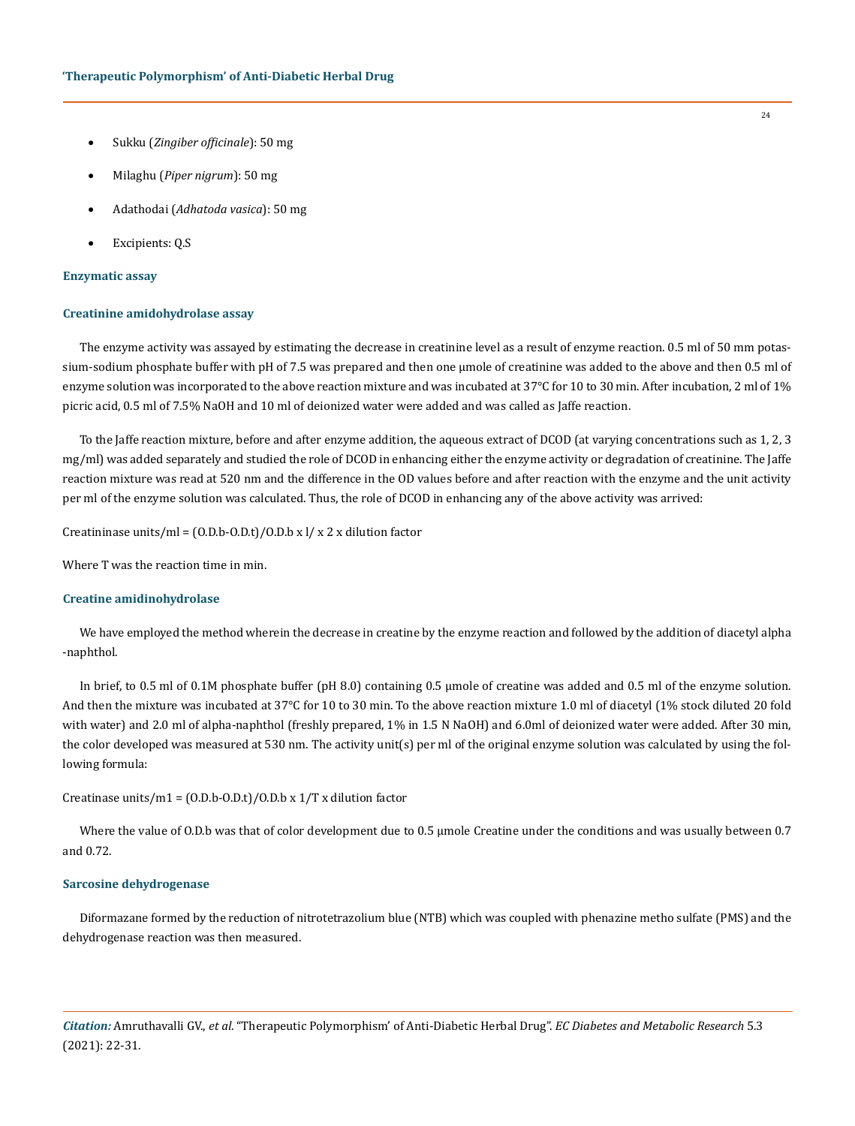- • Sukku (*Zingiber officinale*): 50 mg
- • Milaghu (*Piper nigrum*): 50 mg
- • Adathodai (*Adhatoda vasica*): 50 mg
- Excipients: Q.S

### **Enzymatic assay**

#### **Creatinine amidohydrolase assay**

The enzyme activity was assayed by estimating the decrease in creatinine level as a result of enzyme reaction. 0.5 ml of 50 mm potassium-sodium phosphate buffer with pH of 7.5 was prepared and then one µmole of creatinine was added to the above and then 0.5 ml of enzyme solution was incorporated to the above reaction mixture and was incubated at 37°C for 10 to 30 min. After incubation, 2 ml of 1% picric acid, 0.5 ml of 7.5% NaOH and 10 ml of deionized water were added and was called as Jaffe reaction.

To the Jaffe reaction mixture, before and after enzyme addition, the aqueous extract of DCOD (at varying concentrations such as 1, 2, 3 mg/ml) was added separately and studied the role of DCOD in enhancing either the enzyme activity or degradation of creatinine. The Jaffe reaction mixture was read at 520 nm and the difference in the OD values before and after reaction with the enzyme and the unit activity per ml of the enzyme solution was calculated. Thus, the role of DCOD in enhancing any of the above activity was arrived:

Creatininase units/ml =  $(0.D.b-O.D.t)/0.D.b x l/x 2 x$  dilution factor

Where T was the reaction time in min.

### **Creatine amidinohydrolase**

We have employed the method wherein the decrease in creatine by the enzyme reaction and followed by the addition of diacetyl alpha -naphthol.

In brief, to 0.5 ml of 0.1M phosphate buffer (pH 8.0) containing 0.5 µmole of creatine was added and 0.5 ml of the enzyme solution. And then the mixture was incubated at 37°C for 10 to 30 min. To the above reaction mixture 1.0 ml of diacetyl (1% stock diluted 20 fold with water) and 2.0 ml of alpha-naphthol (freshly prepared, 1% in 1.5 N NaOH) and 6.0ml of deionized water were added. After 30 min, the color developed was measured at 530 nm. The activity unit(s) per ml of the original enzyme solution was calculated by using the following formula:

# Creatinase units/m1 =  $(0.D.b-O.D.t)/0.D.b \times 1/T \times$  dilution factor

Where the value of O.D.b was that of color development due to 0.5 µmole Creatine under the conditions and was usually between 0.7 and 0.72.

#### **Sarcosine dehydrogenase**

Diformazane formed by the reduction of nitrotetrazolium blue (NTB) which was coupled with phenazine metho sulfate (PMS) and the dehydrogenase reaction was then measured.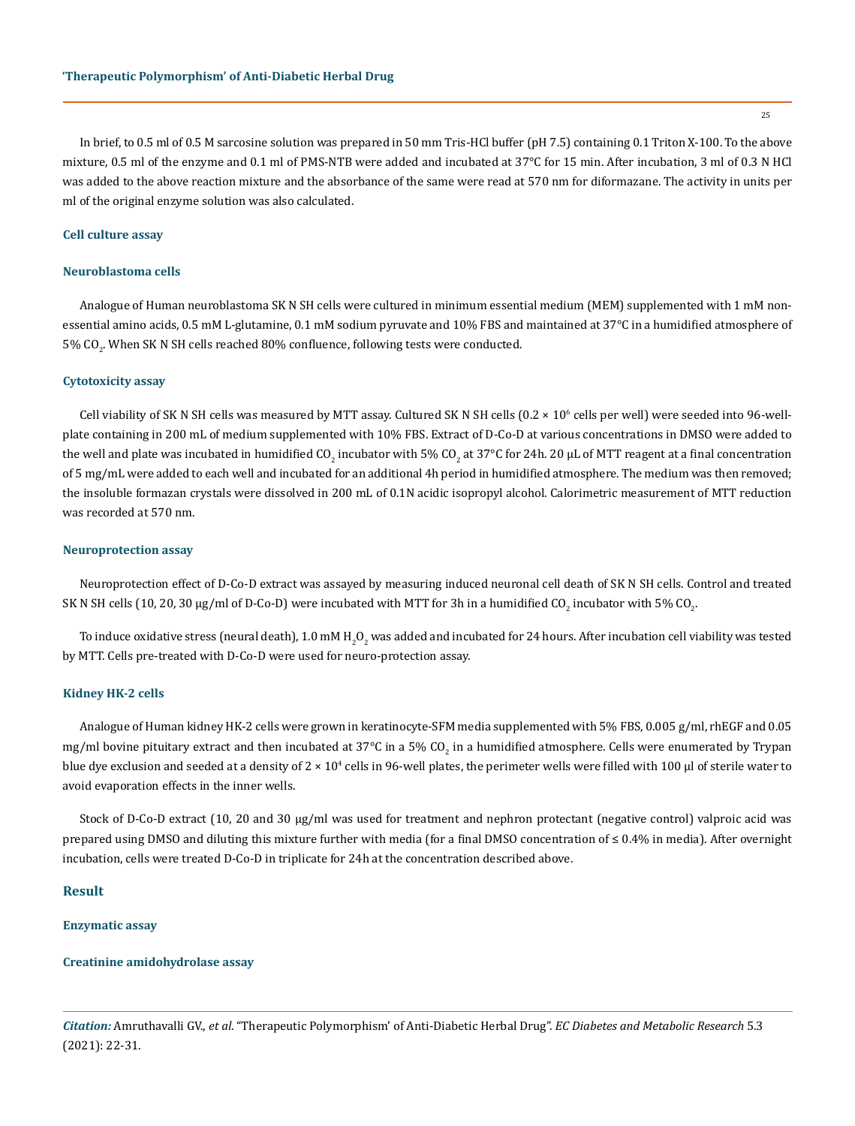In brief, to 0.5 ml of 0.5 M sarcosine solution was prepared in 50 mm Tris-HCl buffer (pH 7.5) containing 0.1 Triton X-100. To the above mixture, 0.5 ml of the enzyme and 0.1 ml of PMS-NTB were added and incubated at 37°C for 15 min. After incubation, 3 ml of 0.3 N HCl was added to the above reaction mixture and the absorbance of the same were read at 570 nm for diformazane. The activity in units per ml of the original enzyme solution was also calculated.

### **Cell culture assay**

### **Neuroblastoma cells**

Analogue of Human neuroblastoma SK N SH cells were cultured in minimum essential medium (MEM) supplemented with 1 mM nonessential amino acids, 0.5 mM L-glutamine, 0.1 mM sodium pyruvate and 10% FBS and maintained at 37°C in a humidified atmosphere of 5% CO $_2^{\rm{.}}$  When SK N SH cells reached 80% confluence, following tests were conducted.

### **Cytotoxicity assay**

Cell viability of SK N SH cells was measured by MTT assay. Cultured SK N SH cells  $(0.2 \times 10^6 \text{ cells}$  per well) were seeded into 96-wellplate containing in 200 mL of medium supplemented with 10% FBS. Extract of D-Co-D at various concentrations in DMSO were added to the well and plate was incubated in humidified CO<sub>2</sub> incubator with 5% CO<sub>2</sub> at 37°C for 24h. 20 µL of MTT reagent at a final concentration of 5 mg/mL were added to each well and incubated for an additional 4h period in humidified atmosphere. The medium was then removed; the insoluble formazan crystals were dissolved in 200 mL of 0.1N acidic isopropyl alcohol. Calorimetric measurement of MTT reduction was recorded at 570 nm.

#### **Neuroprotection assay**

Neuroprotection effect of D-Co-D extract was assayed by measuring induced neuronal cell death of SK N SH cells. Control and treated SK N SH cells (10, 20, 30 µg/ml of D-Co-D) were incubated with MTT for 3h in a humidified CO<sub>2</sub> incubator with 5% CO<sub>2</sub>.

To induce oxidative stress (neural death),  $1.0$  mM  $\rm H_2O_2$  was added and incubated for 24 hours. After incubation cell viability was tested by MTT. Cells pre-treated with D-Co-D were used for neuro-protection assay.

#### **Kidney HK-2 cells**

Analogue of Human kidney HK-2 cells were grown in keratinocyte-SFM media supplemented with 5% FBS, 0.005 g/ml, rhEGF and 0.05 mg/ml bovine pituitary extract and then incubated at 37°C in a 5% CO<sub>2</sub> in a humidified atmosphere. Cells were enumerated by Trypan blue dye exclusion and seeded at a density of 2  $\times$  10<sup>4</sup> cells in 96-well plates, the perimeter wells were filled with 100 µl of sterile water to avoid evaporation effects in the inner wells.

Stock of D-Co-D extract (10, 20 and 30 μg/ml was used for treatment and nephron protectant (negative control) valproic acid was prepared using DMSO and diluting this mixture further with media (for a final DMSO concentration of ≤ 0.4% in media). After overnight incubation, cells were treated D-Co-D in triplicate for 24h at the concentration described above.

### **Result**

#### **Enzymatic assay**

### **Creatinine amidohydrolase assay**

*Citation:* Amruthavalli GV., *et al*. "Therapeutic Polymorphism' of Anti-Diabetic Herbal Drug". *EC Diabetes and Metabolic Research* 5.3 (2021): 22-31.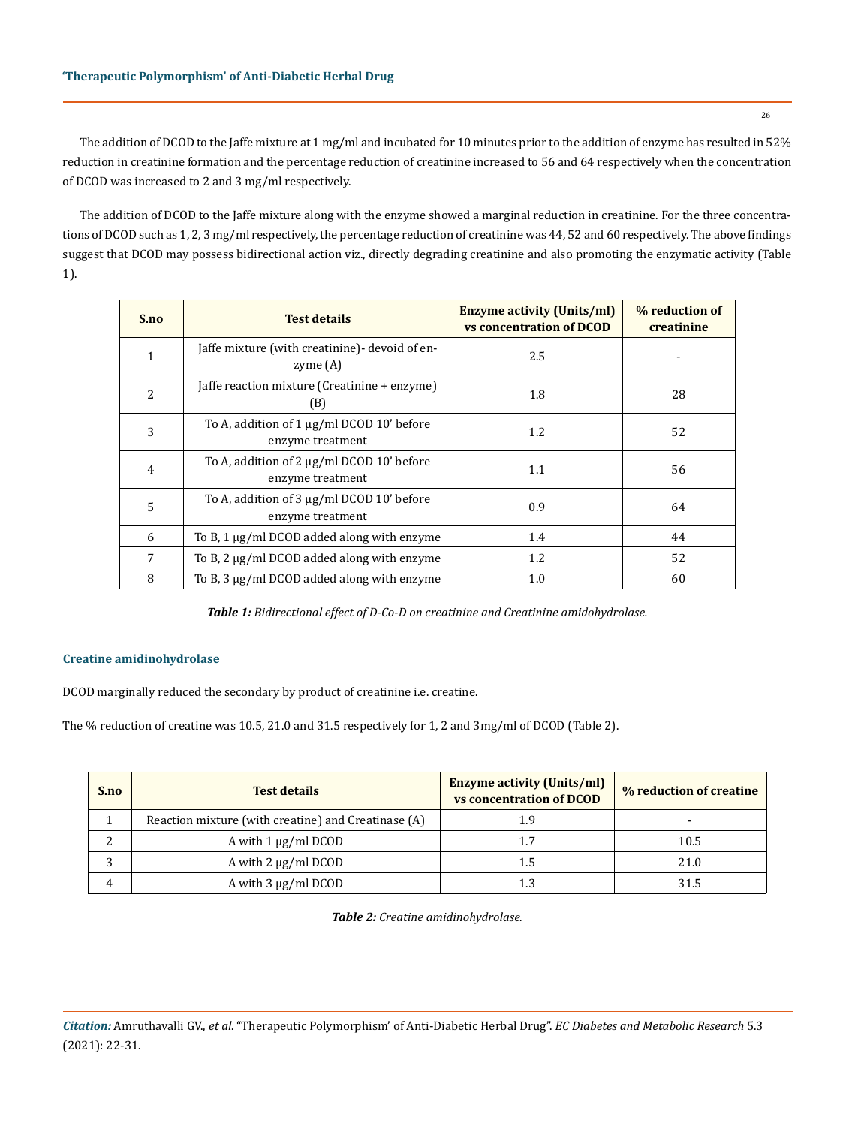The addition of DCOD to the Jaffe mixture at 1 mg/ml and incubated for 10 minutes prior to the addition of enzyme has resulted in 52% reduction in creatinine formation and the percentage reduction of creatinine increased to 56 and 64 respectively when the concentration of DCOD was increased to 2 and 3 mg/ml respectively.

The addition of DCOD to the Jaffe mixture along with the enzyme showed a marginal reduction in creatinine. For the three concentrations of DCOD such as 1, 2, 3 mg/ml respectively, the percentage reduction of creatinine was 44, 52 and 60 respectively. The above findings suggest that DCOD may possess bidirectional action viz., directly degrading creatinine and also promoting the enzymatic activity (Table 1).

| S.no | <b>Test details</b>                                           | <b>Enzyme activity (Units/ml)</b><br><b>vs concentration of DCOD</b> | % reduction of<br>creatinine |
|------|---------------------------------------------------------------|----------------------------------------------------------------------|------------------------------|
| 1    | Jaffe mixture (with creatinine) devoid of en-<br>zyme $(A)$   | 2.5                                                                  |                              |
| 2    | [affe reaction mixture (Creatinine + enzyme)<br>(B)           | 1.8                                                                  | 28                           |
| 3    | To A, addition of 1 μg/ml DCOD 10' before<br>enzyme treatment | 1.2                                                                  | 52                           |
| 4    | To A, addition of 2 μg/ml DCOD 10' before<br>enzyme treatment | 1.1                                                                  | 56                           |
| 5    | To A, addition of 3 μg/ml DCOD 10' before<br>enzyme treatment | 0.9                                                                  | 64                           |
| 6    | To B, 1 μg/ml DCOD added along with enzyme                    | 1.4                                                                  | 44                           |
| 7    | To B, 2 μg/ml DCOD added along with enzyme                    | 1.2                                                                  | 52                           |
| 8    | To B, 3 µg/ml DCOD added along with enzyme                    | 1.0                                                                  | 60                           |

*Table 1: Bidirectional effect of D-Co-D on creatinine and Creatinine amidohydrolase.*

# **Creatine amidinohydrolase**

DCOD marginally reduced the secondary by product of creatinine i.e. creatine.

The % reduction of creatine was 10.5, 21.0 and 31.5 respectively for 1, 2 and 3mg/ml of DCOD (Table 2).

| S.no | <b>Test details</b>                                 | <b>Enzyme activity (Units/ml)</b><br>vs concentration of DCOD | % reduction of creatine |
|------|-----------------------------------------------------|---------------------------------------------------------------|-------------------------|
|      | Reaction mixture (with creatine) and Creatinase (A) | 1.9                                                           |                         |
|      | A with $1 \mu g/ml D COD$                           | 1.7                                                           | 10.5                    |
| 2    | A with $2 \mu g/ml D COD$                           | 1.5                                                           | 21.0                    |
| 4    | A with $3 \mu g/ml DCOD$                            | 1.3                                                           | 31.5                    |

*Table 2: Creatine amidinohydrolase.*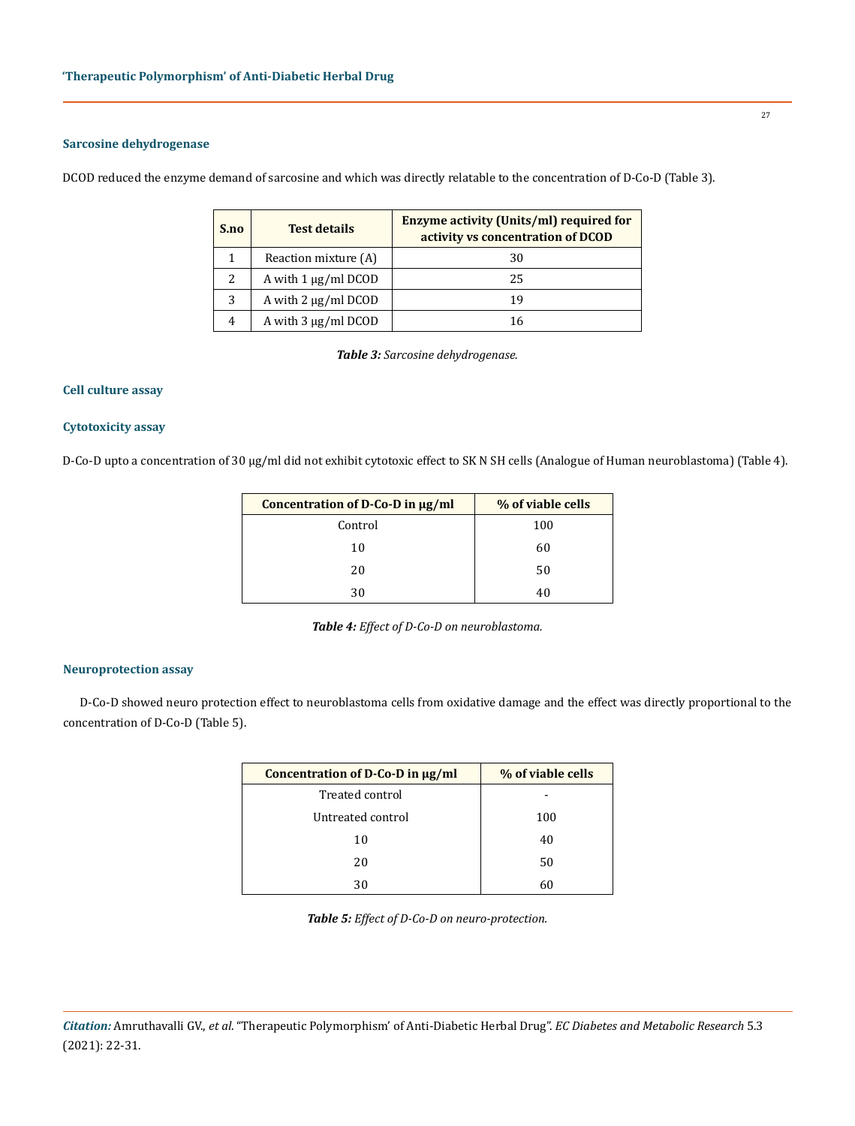# **Sarcosine dehydrogenase**

DCOD reduced the enzyme demand of sarcosine and which was directly relatable to the concentration of D-Co-D (Table 3).

| S.no | <b>Test details</b>       | <b>Enzyme activity (Units/ml) required for</b><br>activity vs concentration of DCOD |
|------|---------------------------|-------------------------------------------------------------------------------------|
|      | Reaction mixture (A)      | 30                                                                                  |
| 2    | A with $1 \mu g/ml D COD$ | 25                                                                                  |
| 3    | A with $2 \mu g/ml D COD$ | 19                                                                                  |
| 4    | A with $3 \mu g/ml DCOD$  | 16                                                                                  |

*Table 3: Sarcosine dehydrogenase.*

## **Cell culture assay**

# **Cytotoxicity assay**

D-Co-D upto a concentration of 30 μg/ml did not exhibit cytotoxic effect to SK N SH cells (Analogue of Human neuroblastoma) (Table 4).

| Concentration of D-Co-D in µg/ml | % of viable cells |
|----------------------------------|-------------------|
| Control                          | 100               |
| 10                               | 60                |
| 20                               | 50                |
| 30                               | 40                |

*Table 4: Effect of D-Co-D on neuroblastoma.*

# **Neuroprotection assay**

D-Co-D showed neuro protection effect to neuroblastoma cells from oxidative damage and the effect was directly proportional to the concentration of D-Co-D (Table 5).

| Concentration of $D$ -Co-D in $\mu$ g/ml | % of viable cells |
|------------------------------------------|-------------------|
| Treated control                          |                   |
| Untreated control                        | 100               |
| 10                                       | 40                |
| 20                                       | 50                |
| 30                                       | 60                |

*Table 5: Effect of D-Co-D on neuro-protection.*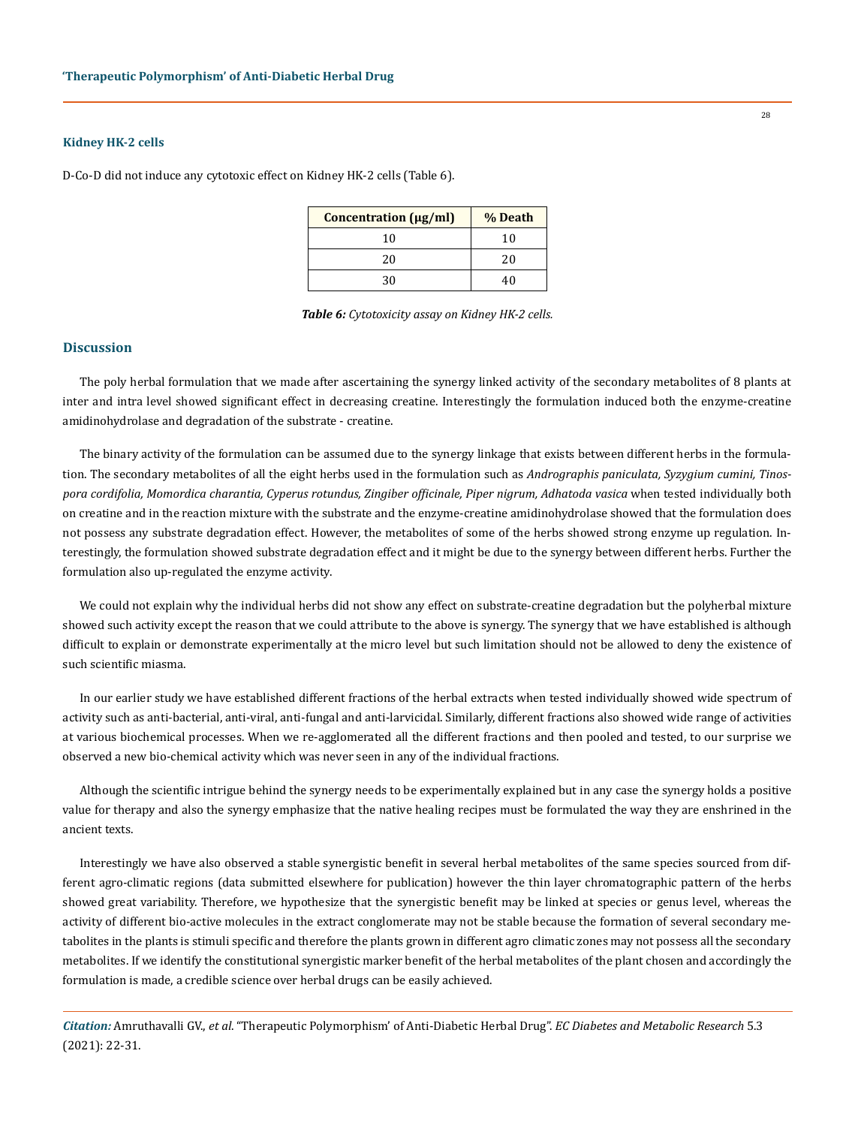### **Kidney HK-2 cells**

D-Co-D did not induce any cytotoxic effect on Kidney HK-2 cells (Table 6).

| Concentration (µg/ml) | % Death |
|-----------------------|---------|
| 10                    | 10      |
| 20                    | 20      |
| 30                    | 4በ      |

*Table 6: Cytotoxicity assay on Kidney HK-2 cells.*

#### **Discussion**

The poly herbal formulation that we made after ascertaining the synergy linked activity of the secondary metabolites of 8 plants at inter and intra level showed significant effect in decreasing creatine. Interestingly the formulation induced both the enzyme-creatine amidinohydrolase and degradation of the substrate - creatine.

The binary activity of the formulation can be assumed due to the synergy linkage that exists between different herbs in the formulation. The secondary metabolites of all the eight herbs used in the formulation such as *Andrographis paniculata, Syzygium cumini, Tinospora cordifolia, Momordica charantia, Cyperus rotundus, Zingiber officinale, Piper nigrum, Adhatoda vasica* when tested individually both on creatine and in the reaction mixture with the substrate and the enzyme-creatine amidinohydrolase showed that the formulation does not possess any substrate degradation effect. However, the metabolites of some of the herbs showed strong enzyme up regulation. Interestingly, the formulation showed substrate degradation effect and it might be due to the synergy between different herbs. Further the formulation also up-regulated the enzyme activity.

We could not explain why the individual herbs did not show any effect on substrate-creatine degradation but the polyherbal mixture showed such activity except the reason that we could attribute to the above is synergy. The synergy that we have established is although difficult to explain or demonstrate experimentally at the micro level but such limitation should not be allowed to deny the existence of such scientific miasma.

In our earlier study we have established different fractions of the herbal extracts when tested individually showed wide spectrum of activity such as anti-bacterial, anti-viral, anti-fungal and anti-larvicidal. Similarly, different fractions also showed wide range of activities at various biochemical processes. When we re-agglomerated all the different fractions and then pooled and tested, to our surprise we observed a new bio-chemical activity which was never seen in any of the individual fractions.

Although the scientific intrigue behind the synergy needs to be experimentally explained but in any case the synergy holds a positive value for therapy and also the synergy emphasize that the native healing recipes must be formulated the way they are enshrined in the ancient texts.

Interestingly we have also observed a stable synergistic benefit in several herbal metabolites of the same species sourced from different agro-climatic regions (data submitted elsewhere for publication) however the thin layer chromatographic pattern of the herbs showed great variability. Therefore, we hypothesize that the synergistic benefit may be linked at species or genus level, whereas the activity of different bio-active molecules in the extract conglomerate may not be stable because the formation of several secondary metabolites in the plants is stimuli specific and therefore the plants grown in different agro climatic zones may not possess all the secondary metabolites. If we identify the constitutional synergistic marker benefit of the herbal metabolites of the plant chosen and accordingly the formulation is made, a credible science over herbal drugs can be easily achieved.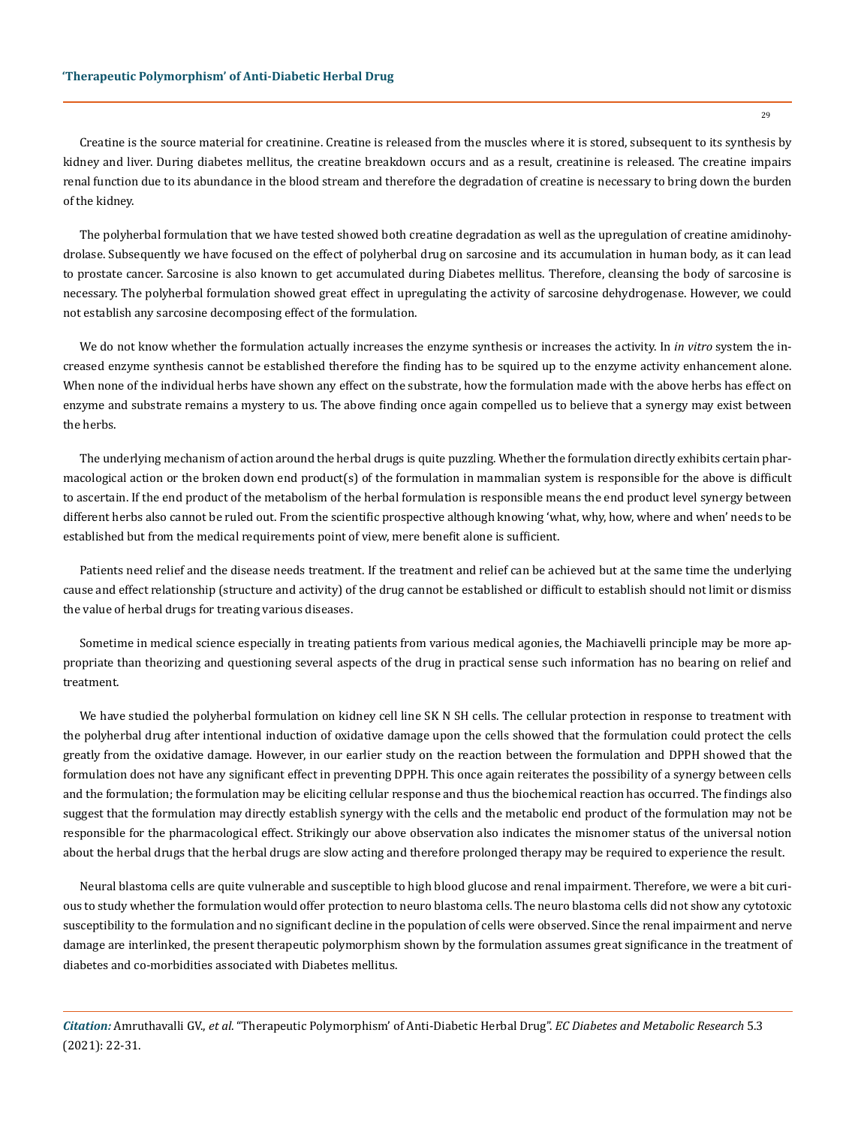Creatine is the source material for creatinine. Creatine is released from the muscles where it is stored, subsequent to its synthesis by kidney and liver. During diabetes mellitus, the creatine breakdown occurs and as a result, creatinine is released. The creatine impairs renal function due to its abundance in the blood stream and therefore the degradation of creatine is necessary to bring down the burden of the kidney.

The polyherbal formulation that we have tested showed both creatine degradation as well as the upregulation of creatine amidinohydrolase. Subsequently we have focused on the effect of polyherbal drug on sarcosine and its accumulation in human body, as it can lead to prostate cancer. Sarcosine is also known to get accumulated during Diabetes mellitus. Therefore, cleansing the body of sarcosine is necessary. The polyherbal formulation showed great effect in upregulating the activity of sarcosine dehydrogenase. However, we could not establish any sarcosine decomposing effect of the formulation.

We do not know whether the formulation actually increases the enzyme synthesis or increases the activity. In *in vitro* system the increased enzyme synthesis cannot be established therefore the finding has to be squired up to the enzyme activity enhancement alone. When none of the individual herbs have shown any effect on the substrate, how the formulation made with the above herbs has effect on enzyme and substrate remains a mystery to us. The above finding once again compelled us to believe that a synergy may exist between the herbs.

The underlying mechanism of action around the herbal drugs is quite puzzling. Whether the formulation directly exhibits certain pharmacological action or the broken down end product(s) of the formulation in mammalian system is responsible for the above is difficult to ascertain. If the end product of the metabolism of the herbal formulation is responsible means the end product level synergy between different herbs also cannot be ruled out. From the scientific prospective although knowing 'what, why, how, where and when' needs to be established but from the medical requirements point of view, mere benefit alone is sufficient.

Patients need relief and the disease needs treatment. If the treatment and relief can be achieved but at the same time the underlying cause and effect relationship (structure and activity) of the drug cannot be established or difficult to establish should not limit or dismiss the value of herbal drugs for treating various diseases.

Sometime in medical science especially in treating patients from various medical agonies, the Machiavelli principle may be more appropriate than theorizing and questioning several aspects of the drug in practical sense such information has no bearing on relief and treatment.

We have studied the polyherbal formulation on kidney cell line SK N SH cells. The cellular protection in response to treatment with the polyherbal drug after intentional induction of oxidative damage upon the cells showed that the formulation could protect the cells greatly from the oxidative damage. However, in our earlier study on the reaction between the formulation and DPPH showed that the formulation does not have any significant effect in preventing DPPH. This once again reiterates the possibility of a synergy between cells and the formulation; the formulation may be eliciting cellular response and thus the biochemical reaction has occurred. The findings also suggest that the formulation may directly establish synergy with the cells and the metabolic end product of the formulation may not be responsible for the pharmacological effect. Strikingly our above observation also indicates the misnomer status of the universal notion about the herbal drugs that the herbal drugs are slow acting and therefore prolonged therapy may be required to experience the result.

Neural blastoma cells are quite vulnerable and susceptible to high blood glucose and renal impairment. Therefore, we were a bit curious to study whether the formulation would offer protection to neuro blastoma cells. The neuro blastoma cells did not show any cytotoxic susceptibility to the formulation and no significant decline in the population of cells were observed. Since the renal impairment and nerve damage are interlinked, the present therapeutic polymorphism shown by the formulation assumes great significance in the treatment of diabetes and co-morbidities associated with Diabetes mellitus.

*Citation:* Amruthavalli GV., *et al*. "Therapeutic Polymorphism' of Anti-Diabetic Herbal Drug". *EC Diabetes and Metabolic Research* 5.3 (2021): 22-31.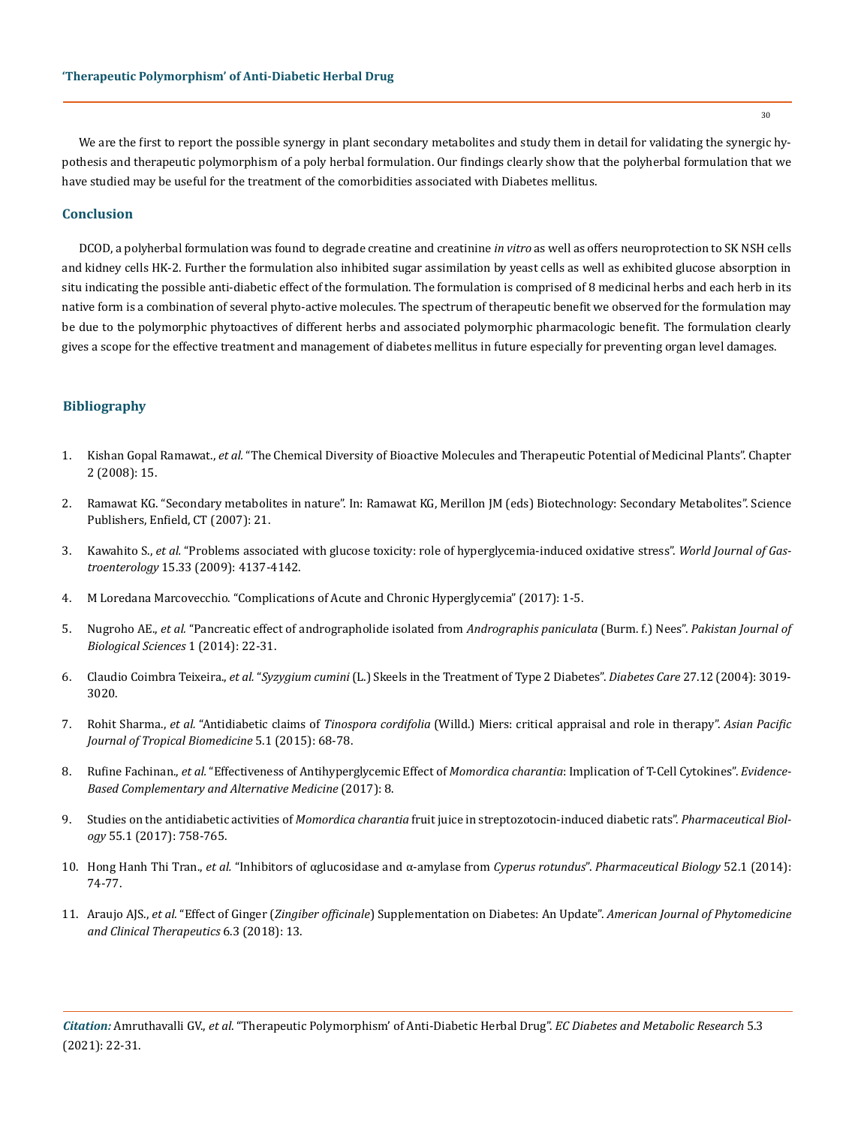We are the first to report the possible synergy in plant secondary metabolites and study them in detail for validating the synergic hypothesis and therapeutic polymorphism of a poly herbal formulation. Our findings clearly show that the polyherbal formulation that we have studied may be useful for the treatment of the comorbidities associated with Diabetes mellitus.

# **Conclusion**

DCOD, a polyherbal formulation was found to degrade creatine and creatinine *in vitro* as well as offers neuroprotection to SK NSH cells and kidney cells HK-2. Further the formulation also inhibited sugar assimilation by yeast cells as well as exhibited glucose absorption in situ indicating the possible anti-diabetic effect of the formulation. The formulation is comprised of 8 medicinal herbs and each herb in its native form is a combination of several phyto-active molecules. The spectrum of therapeutic benefit we observed for the formulation may be due to the polymorphic phytoactives of different herbs and associated polymorphic pharmacologic benefit. The formulation clearly gives a scope for the effective treatment and management of diabetes mellitus in future especially for preventing organ level damages.

## **Bibliography**

- 1. Kishan Gopal Ramawat., *et al.* ["The Chemical Diversity of Bioactive Molecules and Therapeutic Potential of Medicinal Plants". Chapter](https://link.springer.com/chapter/10.1007%2F978-3-540-79116-4_2)  [2 \(2008\): 15.](https://link.springer.com/chapter/10.1007%2F978-3-540-79116-4_2)
- 2. [Ramawat KG. "Secondary metabolites in nature". In: Ramawat KG, Merillon JM \(eds\) Biotechnology: Secondary Metabolites". Science](https://www.routledge.com/Biotechnology-Secondary-Metabolites/Ramawat-Merillon/p/book/9780367453237)  [Publishers, Enfield, CT \(2007\): 21.](https://www.routledge.com/Biotechnology-Secondary-Metabolites/Ramawat-Merillon/p/book/9780367453237)
- 3. Kawahito S., *et al.* ["Problems associated with glucose toxicity: role of hyperglycemia-induced oxidative stress".](https://www.researchgate.net/publication/26784490_Problems_associated_with_glucose_toxicity_Role_of_hyperglycemia-induced_oxidative_stress) *World Journal of Gastroenterology* [15.33 \(2009\): 4137-4142.](https://www.researchgate.net/publication/26784490_Problems_associated_with_glucose_toxicity_Role_of_hyperglycemia-induced_oxidative_stress)
- 4. [M Loredana Marcovecchio. "Complications of Acute and Chronic Hyperglycemia" \(2017\): 1-5.](https://www.touchendocrinology.com/diabetes/journal-articles/complications-of-acute-and-chronic-hyperglycemia/)
- 5. Nugroho AE., *et al.* ["Pancreatic effect of andrographolide isolated from](https://scialert.net/abstract/?doi=pjbs.2014.22.31) *Andrographis paniculata* (Burm. f.) Nees". *Pakistan Journal of [Biological Sciences](https://scialert.net/abstract/?doi=pjbs.2014.22.31)* 1 (2014): 22-31.
- 6. Claudio Coimbra Teixeira., *et al.* "*Syzygium cumini* [\(L.\) Skeels in the Treatment of Type 2 Diabetes".](https://pubmed.ncbi.nlm.nih.gov/15562231/) *Diabetes Care* 27.12 (2004): 3019- [3020.](https://pubmed.ncbi.nlm.nih.gov/15562231/)
- 7. Rohit Sharma., *et al.* "Antidiabetic claims of *Tinospora cordifolia* [\(Willd.\) Miers: critical appraisal and role in therapy".](https://www.sciencedirect.com/science/article/pii/S2221169115301738) *Asian Pacific [Journal of Tropical Biomedicine](https://www.sciencedirect.com/science/article/pii/S2221169115301738)* 5.1 (2015): 68-78.
- 8. Rufine Fachinan., *et al.* ["Effectiveness of Antihyperglycemic Effect of](https://pubmed.ncbi.nlm.nih.gov/29317893/) *Momordica charantia*: Implication of T-Cell Cytokines". *Evidence-[Based Complementary and Alternative Medicine](https://pubmed.ncbi.nlm.nih.gov/29317893/)* (2017): 8.
- 9. Studies on the antidiabetic activities of *Momordica charantia* [fruit juice in streptozotocin-induced diabetic rats".](https://www.ncbi.nlm.nih.gov/pmc/articles/PMC6130663/) *Pharmaceutical Biology* [55.1 \(2017\): 758-765.](https://www.ncbi.nlm.nih.gov/pmc/articles/PMC6130663/)
- 10. Hong Hanh Thi Tran., *et al.* ["Inhibitors of αglucosidase and α-amylase from](https://www.tandfonline.com/doi/full/10.3109/13880209.2013.814692) *Cyperus rotundus*". *Pharmaceutical Biology* 52.1 (2014): [74-77.](https://www.tandfonline.com/doi/full/10.3109/13880209.2013.814692)
- 11. Araujo AJS., *et al.* "Effect of Ginger (*Zingiber officinale*[\) Supplementation on Diabetes: An Update".](https://www.imedpub.com/articles/effect-of-ginger-zingiber-officinalesupplementation-on-diabetes-an-update.php?aid=23989) *American Journal of Phytomedicine [and Clinical Therapeutics](https://www.imedpub.com/articles/effect-of-ginger-zingiber-officinalesupplementation-on-diabetes-an-update.php?aid=23989)* 6.3 (2018): 13.